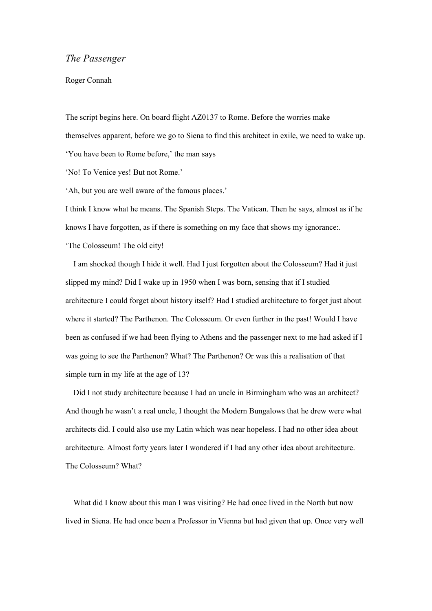## *The Passenger*

## Roger Connah

The script begins here. On board flight AZ0137 to Rome. Before the worries make themselves apparent, before we go to Siena to find this architect in exile, we need to wake up. 'You have been to Rome before,' the man says 'No! To Venice yes! But not Rome.'

'Ah, but you are well aware of the famous places.'

I think I know what he means. The Spanish Steps. The Vatican. Then he says, almost as if he knows I have forgotten, as if there is something on my face that shows my ignorance:. 'The Colosseum! The old city!

 I am shocked though I hide it well. Had I just forgotten about the Colosseum? Had it just slipped my mind? Did I wake up in 1950 when I was born, sensing that if I studied architecture I could forget about history itself? Had I studied architecture to forget just about where it started? The Parthenon. The Colosseum. Or even further in the past! Would I have been as confused if we had been flying to Athens and the passenger next to me had asked if I was going to see the Parthenon? What? The Parthenon? Or was this a realisation of that simple turn in my life at the age of 13?

 Did I not study architecture because I had an uncle in Birmingham who was an architect? And though he wasn't a real uncle, I thought the Modern Bungalows that he drew were what architects did. I could also use my Latin which was near hopeless. I had no other idea about architecture. Almost forty years later I wondered if I had any other idea about architecture. The Colosseum? What?

What did I know about this man I was visiting? He had once lived in the North but now lived in Siena. He had once been a Professor in Vienna but had given that up. Once very well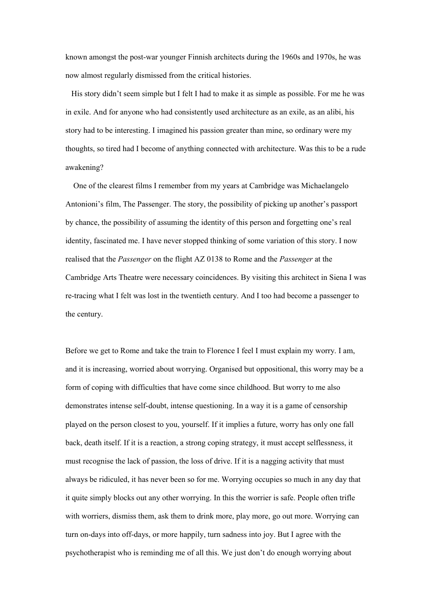known amongst the post-war younger Finnish architects during the 1960s and 1970s, he was now almost regularly dismissed from the critical histories.

 His story didn't seem simple but I felt I had to make it as simple as possible. For me he was in exile. And for anyone who had consistently used architecture as an exile, as an alibi, his story had to be interesting. I imagined his passion greater than mine, so ordinary were my thoughts, so tired had I become of anything connected with architecture. Was this to be a rude awakening?

 One of the clearest films I remember from my years at Cambridge was Michaelangelo Antonioni's film, The Passenger. The story, the possibility of picking up another's passport by chance, the possibility of assuming the identity of this person and forgetting one's real identity, fascinated me. I have never stopped thinking of some variation of this story. I now realised that the *Passenger* on the flight AZ 0138 to Rome and the *Passenger* at the Cambridge Arts Theatre were necessary coincidences. By visiting this architect in Siena I was re-tracing what I felt was lost in the twentieth century. And I too had become a passenger to the century.

Before we get to Rome and take the train to Florence I feel I must explain my worry. I am, and it is increasing, worried about worrying. Organised but oppositional, this worry may be a form of coping with difficulties that have come since childhood. But worry to me also demonstrates intense self-doubt, intense questioning. In a way it is a game of censorship played on the person closest to you, yourself. If it implies a future, worry has only one fall back, death itself. If it is a reaction, a strong coping strategy, it must accept selflessness, it must recognise the lack of passion, the loss of drive. If it is a nagging activity that must always be ridiculed, it has never been so for me. Worrying occupies so much in any day that it quite simply blocks out any other worrying. In this the worrier is safe. People often trifle with worriers, dismiss them, ask them to drink more, play more, go out more. Worrying can turn on-days into off-days, or more happily, turn sadness into joy. But I agree with the psychotherapist who is reminding me of all this. We just don't do enough worrying about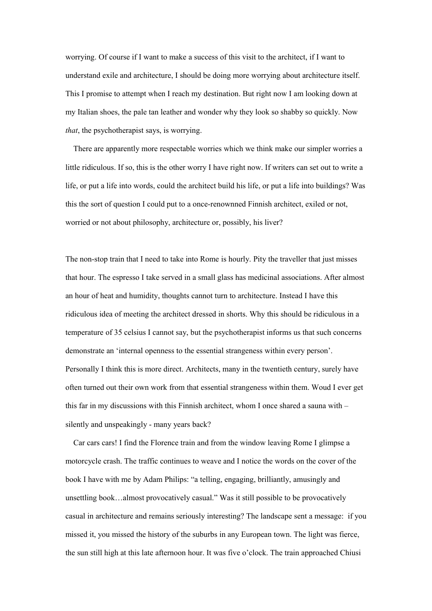worrying. Of course if I want to make a success of this visit to the architect, if I want to understand exile and architecture, I should be doing more worrying about architecture itself. This I promise to attempt when I reach my destination. But right now I am looking down at my Italian shoes, the pale tan leather and wonder why they look so shabby so quickly. Now *that*, the psychotherapist says, is worrying.

 There are apparently more respectable worries which we think make our simpler worries a little ridiculous. If so, this is the other worry I have right now. If writers can set out to write a life, or put a life into words, could the architect build his life, or put a life into buildings? Was this the sort of question I could put to a once-renownned Finnish architect, exiled or not, worried or not about philosophy, architecture or, possibly, his liver?

The non-stop train that I need to take into Rome is hourly. Pity the traveller that just misses that hour. The espresso I take served in a small glass has medicinal associations. After almost an hour of heat and humidity, thoughts cannot turn to architecture. Instead I have this ridiculous idea of meeting the architect dressed in shorts. Why this should be ridiculous in a temperature of 35 celsius I cannot say, but the psychotherapist informs us that such concerns demonstrate an 'internal openness to the essential strangeness within every person'. Personally I think this is more direct. Architects, many in the twentieth century, surely have often turned out their own work from that essential strangeness within them. Woud I ever get this far in my discussions with this Finnish architect, whom I once shared a sauna with – silently and unspeakingly - many years back?

 Car cars cars! I find the Florence train and from the window leaving Rome I glimpse a motorcycle crash. The traffic continues to weave and I notice the words on the cover of the book I have with me by Adam Philips: "a telling, engaging, brilliantly, amusingly and unsettling book…almost provocatively casual." Was it still possible to be provocatively casual in architecture and remains seriously interesting? The landscape sent a message: if you missed it, you missed the history of the suburbs in any European town. The light was fierce, the sun still high at this late afternoon hour. It was five o'clock. The train approached Chiusi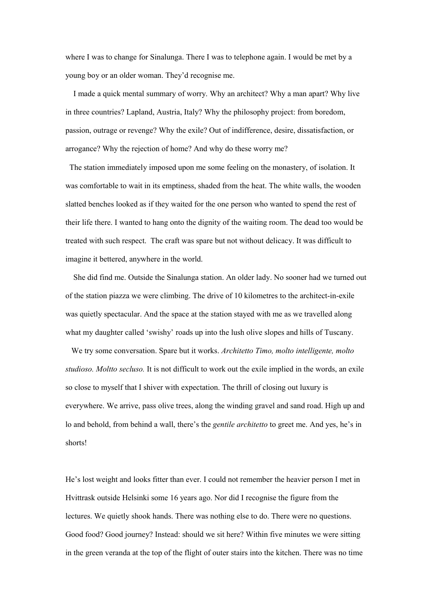where I was to change for Sinalunga. There I was to telephone again. I would be met by a young boy or an older woman. They'd recognise me.

 I made a quick mental summary of worry. Why an architect? Why a man apart? Why live in three countries? Lapland, Austria, Italy? Why the philosophy project: from boredom, passion, outrage or revenge? Why the exile? Out of indifference, desire, dissatisfaction, or arrogance? Why the rejection of home? And why do these worry me?

 The station immediately imposed upon me some feeling on the monastery, of isolation. It was comfortable to wait in its emptiness, shaded from the heat. The white walls, the wooden slatted benches looked as if they waited for the one person who wanted to spend the rest of their life there. I wanted to hang onto the dignity of the waiting room. The dead too would be treated with such respect. The craft was spare but not without delicacy. It was difficult to imagine it bettered, anywhere in the world.

 She did find me. Outside the Sinalunga station. An older lady. No sooner had we turned out of the station piazza we were climbing. The drive of 10 kilometres to the architect-in-exile was quietly spectacular. And the space at the station stayed with me as we travelled along what my daughter called 'swishy' roads up into the lush olive slopes and hills of Tuscany.

 We try some conversation. Spare but it works. *Architetto Timo, molto intelligente, molto studioso. Moltto secluso.* It is not difficult to work out the exile implied in the words, an exile so close to myself that I shiver with expectation. The thrill of closing out luxury is everywhere. We arrive, pass olive trees, along the winding gravel and sand road. High up and lo and behold, from behind a wall, there's the *gentile architetto* to greet me. And yes, he's in shorts!

He's lost weight and looks fitter than ever. I could not remember the heavier person I met in Hvittrask outside Helsinki some 16 years ago. Nor did I recognise the figure from the lectures. We quietly shook hands. There was nothing else to do. There were no questions. Good food? Good journey? Instead: should we sit here? Within five minutes we were sitting in the green veranda at the top of the flight of outer stairs into the kitchen. There was no time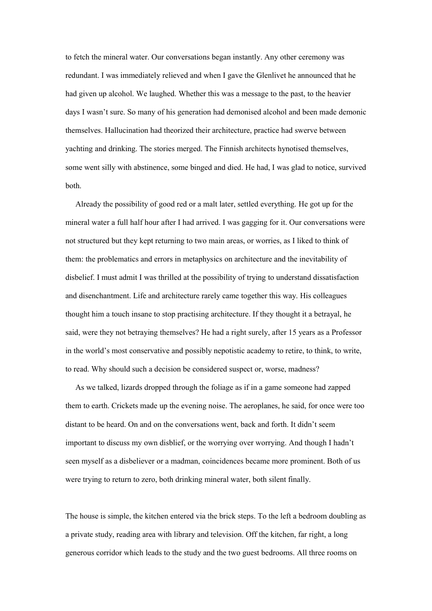to fetch the mineral water. Our conversations began instantly. Any other ceremony was redundant. I was immediately relieved and when I gave the Glenlivet he announced that he had given up alcohol. We laughed. Whether this was a message to the past, to the heavier days I wasn't sure. So many of his generation had demonised alcohol and been made demonic themselves. Hallucination had theorized their architecture, practice had swerve between yachting and drinking. The stories merged. The Finnish architects hynotised themselves, some went silly with abstinence, some binged and died. He had, I was glad to notice, survived both.

 Already the possibility of good red or a malt later, settled everything. He got up for the mineral water a full half hour after I had arrived. I was gagging for it. Our conversations were not structured but they kept returning to two main areas, or worries, as I liked to think of them: the problematics and errors in metaphysics on architecture and the inevitability of disbelief. I must admit I was thrilled at the possibility of trying to understand dissatisfaction and disenchantment. Life and architecture rarely came together this way. His colleagues thought him a touch insane to stop practising architecture. If they thought it a betrayal, he said, were they not betraying themselves? He had a right surely, after 15 years as a Professor in the world's most conservative and possibly nepotistic academy to retire, to think, to write, to read. Why should such a decision be considered suspect or, worse, madness?

 As we talked, lizards dropped through the foliage as if in a game someone had zapped them to earth. Crickets made up the evening noise. The aeroplanes, he said, for once were too distant to be heard. On and on the conversations went, back and forth. It didn't seem important to discuss my own disblief, or the worrying over worrying. And though I hadn't seen myself as a disbeliever or a madman, coincidences became more prominent. Both of us were trying to return to zero, both drinking mineral water, both silent finally.

The house is simple, the kitchen entered via the brick steps. To the left a bedroom doubling as a private study, reading area with library and television. Off the kitchen, far right, a long generous corridor which leads to the study and the two guest bedrooms. All three rooms on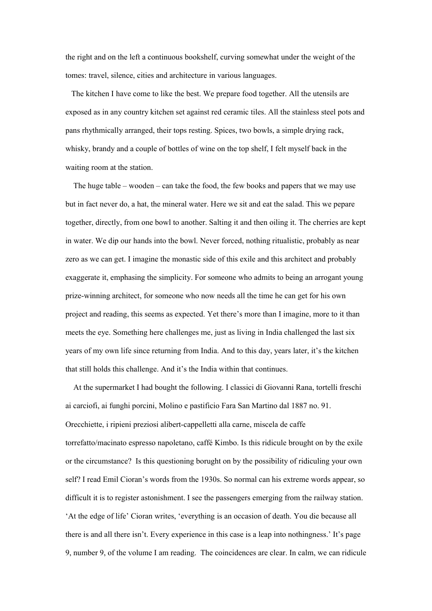the right and on the left a continuous bookshelf, curving somewhat under the weight of the tomes: travel, silence, cities and architecture in various languages.

 The kitchen I have come to like the best. We prepare food together. All the utensils are exposed as in any country kitchen set against red ceramic tiles. All the stainless steel pots and pans rhythmically arranged, their tops resting. Spices, two bowls, a simple drying rack, whisky, brandy and a couple of bottles of wine on the top shelf, I felt myself back in the waiting room at the station.

 The huge table – wooden – can take the food, the few books and papers that we may use but in fact never do, a hat, the mineral water. Here we sit and eat the salad. This we pepare together, directly, from one bowl to another. Salting it and then oiling it. The cherries are kept in water. We dip our hands into the bowl. Never forced, nothing ritualistic, probably as near zero as we can get. I imagine the monastic side of this exile and this architect and probably exaggerate it, emphasing the simplicity. For someone who admits to being an arrogant young prize-winning architect, for someone who now needs all the time he can get for his own project and reading, this seems as expected. Yet there's more than I imagine, more to it than meets the eye. Something here challenges me, just as living in India challenged the last six years of my own life since returning from India. And to this day, years later, it's the kitchen that still holds this challenge. And it's the India within that continues.

 At the supermarket I had bought the following. I classici di Giovanni Rana, tortelli freschi ai carciofi, ai funghi porcini, Molino e pastificio Fara San Martino dal 1887 no. 91. Orecchiette, i ripieni preziosi alibert-cappelletti alla carne, miscela de caffe torrefatto/macinato espresso napoletano, caffé Kimbo. Is this ridicule brought on by the exile or the circumstance? Is this questioning borught on by the possibility of ridiculing your own self? I read Emil Cioran's words from the 1930s. So normal can his extreme words appear, so difficult it is to register astonishment. I see the passengers emerging from the railway station. 'At the edge of life' Cioran writes, 'everything is an occasion of death. You die because all there is and all there isn't. Every experience in this case is a leap into nothingness.' It's page 9, number 9, of the volume I am reading. The coincidences are clear. In calm, we can ridicule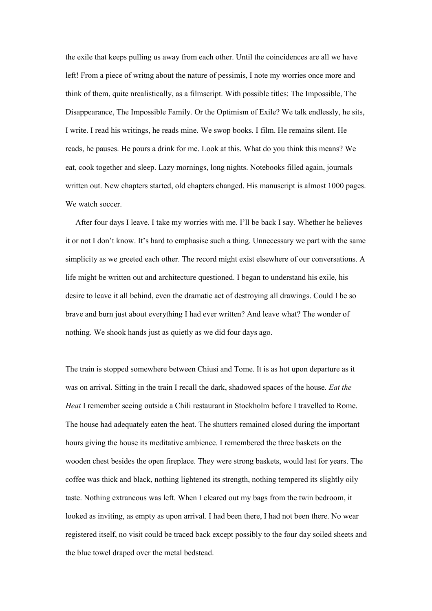the exile that keeps pulling us away from each other. Until the coincidences are all we have left! From a piece of writng about the nature of pessimis, I note my worries once more and think of them, quite nrealistically, as a filmscript. With possible titles: The Impossible, The Disappearance, The Impossible Family. Or the Optimism of Exile? We talk endlessly, he sits, I write. I read his writings, he reads mine. We swop books. I film. He remains silent. He reads, he pauses. He pours a drink for me. Look at this. What do you think this means? We eat, cook together and sleep. Lazy mornings, long nights. Notebooks filled again, journals written out. New chapters started, old chapters changed. His manuscript is almost 1000 pages. We watch soccer.

 After four days I leave. I take my worries with me. I'll be back I say. Whether he believes it or not I don't know. It's hard to emphasise such a thing. Unnecessary we part with the same simplicity as we greeted each other. The record might exist elsewhere of our conversations. A life might be written out and architecture questioned. I began to understand his exile, his desire to leave it all behind, even the dramatic act of destroying all drawings. Could I be so brave and burn just about everything I had ever written? And leave what? The wonder of nothing. We shook hands just as quietly as we did four days ago.

The train is stopped somewhere between Chiusi and Tome. It is as hot upon departure as it was on arrival. Sitting in the train I recall the dark, shadowed spaces of the house. *Eat the Heat* I remember seeing outside a Chili restaurant in Stockholm before I travelled to Rome. The house had adequately eaten the heat. The shutters remained closed during the important hours giving the house its meditative ambience. I remembered the three baskets on the wooden chest besides the open fireplace. They were strong baskets, would last for years. The coffee was thick and black, nothing lightened its strength, nothing tempered its slightly oily taste. Nothing extraneous was left. When I cleared out my bags from the twin bedroom, it looked as inviting, as empty as upon arrival. I had been there, I had not been there. No wear registered itself, no visit could be traced back except possibly to the four day soiled sheets and the blue towel draped over the metal bedstead.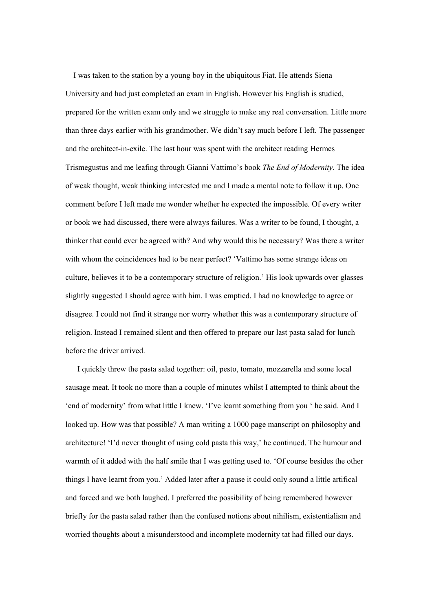I was taken to the station by a young boy in the ubiquitous Fiat. He attends Siena University and had just completed an exam in English. However his English is studied, prepared for the written exam only and we struggle to make any real conversation. Little more than three days earlier with his grandmother. We didn't say much before I left. The passenger and the architect-in-exile. The last hour was spent with the architect reading Hermes Trismegustus and me leafing through Gianni Vattimo's book *The End of Modernity*. The idea of weak thought, weak thinking interested me and I made a mental note to follow it up. One comment before I left made me wonder whether he expected the impossible. Of every writer or book we had discussed, there were always failures. Was a writer to be found, I thought, a thinker that could ever be agreed with? And why would this be necessary? Was there a writer with whom the coincidences had to be near perfect? 'Vattimo has some strange ideas on culture, believes it to be a contemporary structure of religion.' His look upwards over glasses slightly suggested I should agree with him. I was emptied. I had no knowledge to agree or disagree. I could not find it strange nor worry whether this was a contemporary structure of religion. Instead I remained silent and then offered to prepare our last pasta salad for lunch before the driver arrived.

 I quickly threw the pasta salad together: oil, pesto, tomato, mozzarella and some local sausage meat. It took no more than a couple of minutes whilst I attempted to think about the 'end of modernity' from what little I knew. 'I've learnt something from you ' he said. And I looked up. How was that possible? A man writing a 1000 page manscript on philosophy and architecture! 'I'd never thought of using cold pasta this way,' he continued. The humour and warmth of it added with the half smile that I was getting used to. 'Of course besides the other things I have learnt from you.' Added later after a pause it could only sound a little artifical and forced and we both laughed. I preferred the possibility of being remembered however briefly for the pasta salad rather than the confused notions about nihilism, existentialism and worried thoughts about a misunderstood and incomplete modernity tat had filled our days.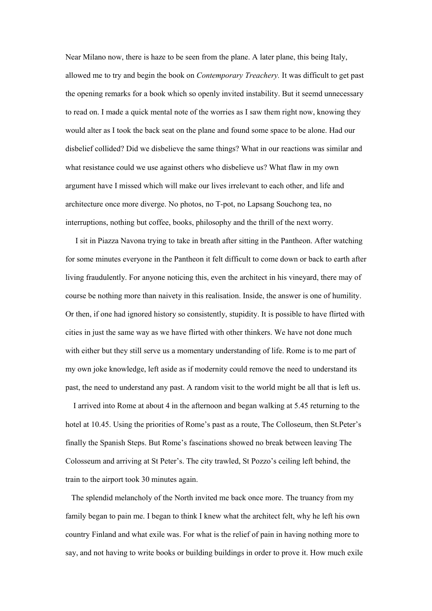Near Milano now, there is haze to be seen from the plane. A later plane, this being Italy, allowed me to try and begin the book on *Contemporary Treachery.* It was difficult to get past the opening remarks for a book which so openly invited instability. But it seemd unnecessary to read on. I made a quick mental note of the worries as I saw them right now, knowing they would alter as I took the back seat on the plane and found some space to be alone. Had our disbelief collided? Did we disbelieve the same things? What in our reactions was similar and what resistance could we use against others who disbelieve us? What flaw in my own argument have I missed which will make our lives irrelevant to each other, and life and architecture once more diverge. No photos, no T-pot, no Lapsang Souchong tea, no interruptions, nothing but coffee, books, philosophy and the thrill of the next worry.

 I sit in Piazza Navona trying to take in breath after sitting in the Pantheon. After watching for some minutes everyone in the Pantheon it felt difficult to come down or back to earth after living fraudulently. For anyone noticing this, even the architect in his vineyard, there may of course be nothing more than naivety in this realisation. Inside, the answer is one of humility. Or then, if one had ignored history so consistently, stupidity. It is possible to have flirted with cities in just the same way as we have flirted with other thinkers. We have not done much with either but they still serve us a momentary understanding of life. Rome is to me part of my own joke knowledge, left aside as if modernity could remove the need to understand its past, the need to understand any past. A random visit to the world might be all that is left us.

 I arrived into Rome at about 4 in the afternoon and began walking at 5.45 returning to the hotel at 10.45. Using the priorities of Rome's past as a route, The Colloseum, then St.Peter's finally the Spanish Steps. But Rome's fascinations showed no break between leaving The Colosseum and arriving at St Peter's. The city trawled, St Pozzo's ceiling left behind, the train to the airport took 30 minutes again.

 The splendid melancholy of the North invited me back once more. The truancy from my family began to pain me. I began to think I knew what the architect felt, why he left his own country Finland and what exile was. For what is the relief of pain in having nothing more to say, and not having to write books or building buildings in order to prove it. How much exile